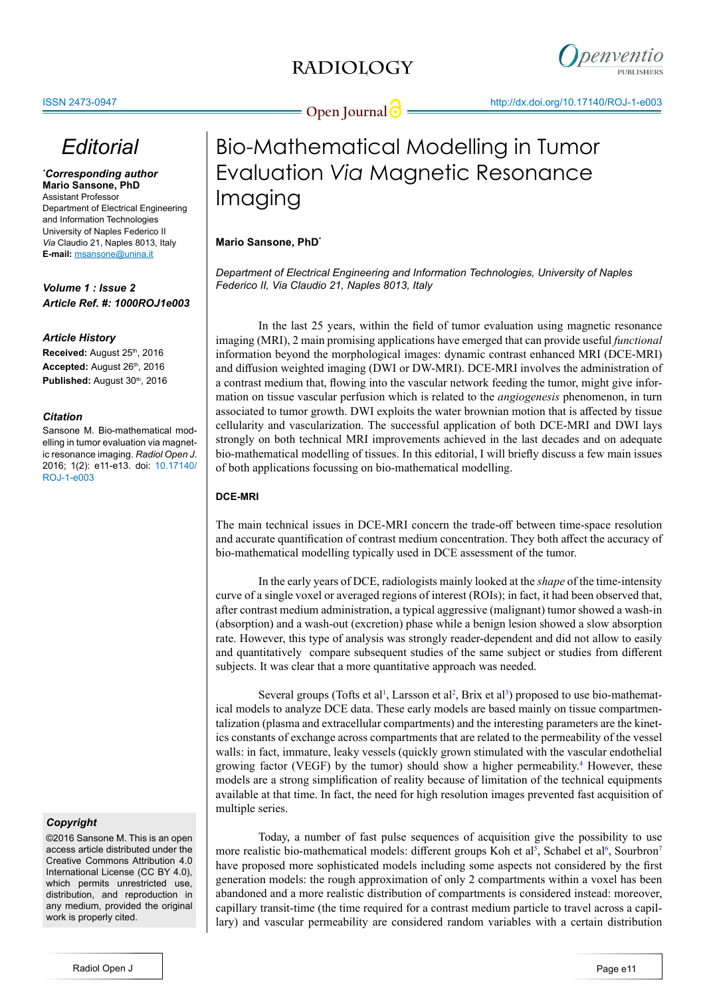

**Open Journal <b>C** = the intermediate of the intermediate of the intermediate of the intermediate of the intermediate of  $\Omega$  = the intermediate of the intermediate of the intermediate of the intermediate of the intermediat

# *Editorial*

#### *\* Corresponding author* **Mario Sansone, PhD** Assistant Professor

Department of Electrical Engineering and Information Technologies University of Naples Federico II *Via* Claudio 21, Naples 8013, Italy **E-mail:** msansone@unina.it

*Volume 1 : Issue 2 Article Ref. #: 1000ROJ1e003*

#### *Article History*

**Received:** August 25th, 2016 Accepted: August 26<sup>th</sup>, 2016 Published: August 30<sup>th</sup>, 2016

#### *Citation*

Sansone M. Bio-mathematical modelling in tumor evaluation via magnetic resonance imaging. *Radiol Open J*. 2016; 1(2): e11-e13. doi: 10.17140/ ROJ-1-e003

#### *Copyright*

©2016 Sansone M. This is an open access article distributed under the Creative Commons Attribution 4.0 International License (CC BY 4.0), which permits unrestricted use, distribution, and reproduction in any medium, provided the original work is properly cited.

# Bio-Mathematical Modelling in Tumor Evaluation *Via* Magnetic Resonance Imaging

#### **Mario Sansone, PhD\***

*Department of Electrical Engineering and Information Technologies, University of Naples Federico II, Via Claudio 21, Naples 8013, Italy*

In the last 25 years, within the field of tumor evaluation using magnetic resonance imaging (MRI), 2 main promising applications have emerged that can provide useful *functional*  information beyond the morphological images: dynamic contrast enhanced MRI (DCE-MRI) and diffusion weighted imaging (DWI or DW-MRI). DCE-MRI involves the administration of a contrast medium that, flowing into the vascular network feeding the tumor, might give information on tissue vascular perfusion which is related to the *angiogenesis* phenomenon, in turn associated to tumor growth. DWI exploits the water brownian motion that is affected by tissue cellularity and vascularization. The successful application of both DCE-MRI and DWI lays strongly on both technical MRI improvements achieved in the last decades and on adequate bio-mathematical modelling of tissues. In this editorial, I will briefly discuss a few main issues of both applications focussing on bio-mathematical modelling.

### **DCE-MRI**

The main technical issues in DCE-MRI concern the trade-off between time-space resolution and accurate quantification of contrast medium concentration. They both affect the accuracy of bio-mathematical modelling typically used in DCE assessment of the tumor.

In the early years of DCE, radiologists mainly looked at the *shape* of the time-intensity curve of a single voxel or averaged regions of interest (ROIs); in fact, it had been observed that, after contrast medium administration, a typical aggressive (malignant) tumor showed a wash-in (absorption) and a wash-out (excretion) phase while a benign lesion showed a slow absorption rate. However, this type of analysis was strongly reader-dependent and did not allow to easily and quantitatively compare subsequent studies of the same subject or studies from different subjects. It was clear that a more quantitative approach was needed.

Several groups (Tofts et al<sup>[1](#page-1-0)</sup>, Larsson et al<sup>[2](#page-1-1)</sup>, Brix et al<sup>[3](#page-1-2)</sup>) proposed to use bio-mathematical models to analyze DCE data. These early models are based mainly on tissue compartmentalization (plasma and extracellular compartments) and the interesting parameters are the kinetics constants of exchange across compartments that are related to the permeability of the vessel walls: in fact, immature, leaky vessels (quickly grown stimulated with the vascular endothelial growing factor (VEGF) by the tumor) should show a higher permeability.<sup>4</sup> However, these models are a strong simplification of reality because of limitation of the technical equipments available at that time. In fact, the need for high resolution images prevented fast acquisition of multiple series.

Today, a number of fast pulse sequences of acquisition give the possibility to use more realistic bio-mathematical models: different groups Koh et al<sup>[5](#page-2-0)</sup>, Schabel et al<sup>[6](#page-2-1)</sup>, Sourbron<sup>[7](#page-2-2)</sup> have proposed more sophisticated models including some aspects not considered by the first generation models: the rough approximation of only 2 compartments within a voxel has been abandoned and a more realistic distribution of compartments is considered instead: moreover, capillary transit-time (the time required for a contrast medium particle to travel across a capillary) and vascular permeability are considered random variables with a certain distribution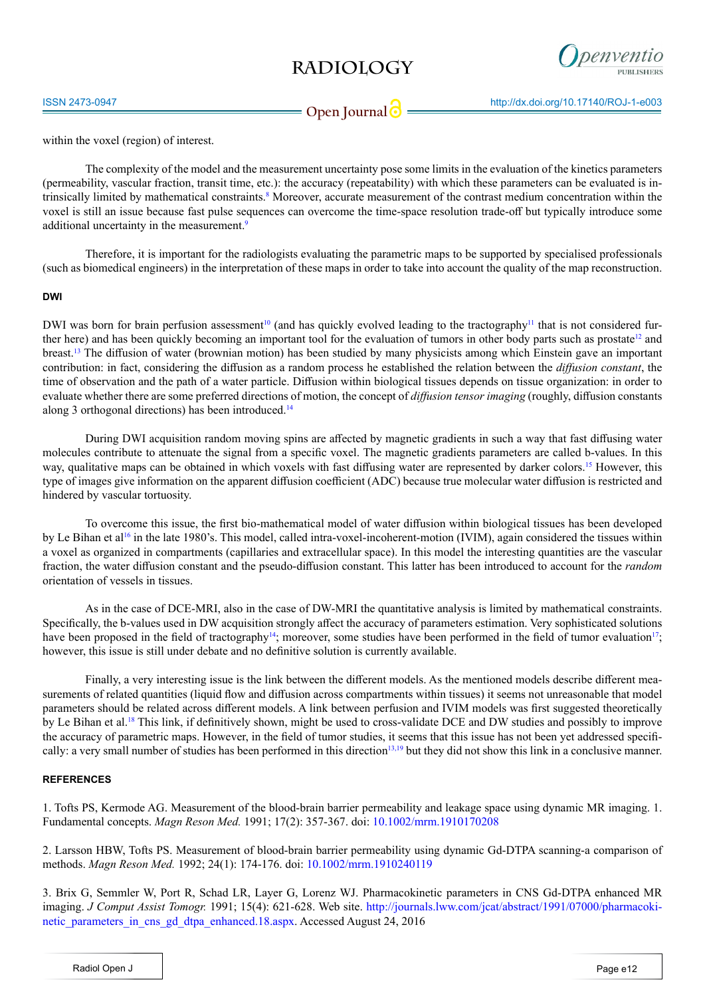## **RADIOLOGY**



**Open Journal | State of the September 2014** http://dx.doi.org/10.17140/ROJ-1-e003

within the voxel (region) of interest.

The complexity of the model and the measurement uncertainty pose some limits in the evaluation of the kinetics parameters (permeability, vascular fraction, transit time, etc.): the accuracy (repeatability) with which these parameters can be evaluated is in-trinsically limited by mathematical constraints.<sup>[8](#page-2-3)</sup> Moreover, accurate measurement of the contrast medium concentration within the voxel is still an issue because fast pulse sequences can overcome the time-space resolution trade-off but typically introduce some additional uncertainty in the measurement.<sup>[9](#page-2-4)</sup>

Therefore, it is important for the radiologists evaluating the parametric maps to be supported by specialised professionals (such as biomedical engineers) in the interpretation of these maps in order to take into account the quality of the map reconstruction.

#### **DWI**

DWI was born for brain perfusion assessment<sup>[10](#page-2-5)</sup> (and has quickly evolved leading to the tractography<sup>[11](#page-2-6)</sup> that is not considered fur-ther here) and has been quickly becoming an important tool for the evaluation of tumors in other body parts such as prostate<sup>[12](#page-2-7)</sup> and breast.[13](#page-2-8) The diffusion of water (brownian motion) has been studied by many physicists among which Einstein gave an important contribution: in fact, considering the diffusion as a random process he established the relation between the *diffusion constant*, the time of observation and the path of a water particle. Diffusion within biological tissues depends on tissue organization: in order to evaluate whether there are some preferred directions of motion, the concept of *diffusion tensor imaging* (roughly, diffusion constants along 3 orthogonal directions) has been introduced.<sup>[14](#page-2-9)</sup>

During DWI acquisition random moving spins are affected by magnetic gradients in such a way that fast diffusing water molecules contribute to attenuate the signal from a specific voxel. The magnetic gradients parameters are called b-values. In this way, qualitative maps can be obtained in which voxels with fast diffusing water are represented by darker colors.<sup>[15](#page-2-10)</sup> However, this type of images give information on the apparent diffusion coefficient (ADC) because true molecular water diffusion is restricted and hindered by vascular tortuosity.

To overcome this issue, the first bio-mathematical model of water diffusion within biological tissues has been developed by Le Bihan et al<sup>[16](#page-2-11)</sup> in the late 1980's. This model, called intra-voxel-incoherent-motion (IVIM), again considered the tissues within a voxel as organized in compartments (capillaries and extracellular space). In this model the interesting quantities are the vascular fraction, the water diffusion constant and the pseudo-diffusion constant. This latter has been introduced to account for the *random* orientation of vessels in tissues.

As in the case of DCE-MRI, also in the case of DW-MRI the quantitative analysis is limited by mathematical constraints. Specifically, the b-values used in DW acquisition strongly affect the accuracy of parameters estimation. Very sophisticated solutions have been proposed in the field of tractography<sup>[14](#page-2-9)</sup>; moreover, some studies have been performed in the field of tumor evaluation<sup>[17](#page-2-12)</sup>; however, this issue is still under debate and no definitive solution is currently available.

Finally, a very interesting issue is the link between the different models. As the mentioned models describe different measurements of related quantities (liquid flow and diffusion across compartments within tissues) it seems not unreasonable that model parameters should be related across different models. A link between perfusion and IVIM models was first suggested theoretically by Le Bihan et al.[18](#page-2-13) This link, if definitively shown, might be used to cross-validate DCE and DW studies and possibly to improve the accuracy of parametric maps. However, in the field of tumor studies, it seems that this issue has not been yet addressed specifi-cally: a very small number of studies has been performed in this direction<sup>[13](#page-2-8),[19](#page-2-14)</sup> but they did not show this link in a conclusive manner.

#### **REFERENCES**

<span id="page-1-0"></span>1. Tofts PS, Kermode AG. Measurement of the blood-brain barrier permeability and leakage space using dynamic MR imaging. 1. Fundamental concepts. *Magn Reson Med.* 1991; 17(2): 357-367. doi: [10.1002/mrm.1910170208](http://onlinelibrary.wiley.com/doi/10.1002/mrm.1910170208/abstract)

<span id="page-1-1"></span>2. Larsson HBW, Tofts PS. Measurement of blood-brain barrier permeability using dynamic Gd-DTPA scanning-a comparison of methods. *Magn Reson Med.* 1992; 24(1): 174-176. doi: [10.1002/mrm.1910240119](http://onlinelibrary.wiley.com/doi/10.1002/mrm.1910240119/abstract)

<span id="page-1-2"></span>3. Brix G, Semmler W, Port R, Schad LR, Layer G, Lorenz WJ. Pharmacokinetic parameters in CNS Gd-DTPA enhanced MR imaging. *J Comput Assist Tomogr.* 1991; 15(4): 621-628. Web site. [http://journals.lww.com/jcat/abstract/1991/07000/pharmacoki](http://journals.lww.com/jcat/abstract/1991/07000/pharmacokinetic_parameters_in_cns_gd_dtpa_enhanced.18.aspx)[netic\\_parameters\\_in\\_cns\\_gd\\_dtpa\\_enhanced.18.aspx.](http://journals.lww.com/jcat/abstract/1991/07000/pharmacokinetic_parameters_in_cns_gd_dtpa_enhanced.18.aspx) Accessed August 24, 2016

Radiol Open J